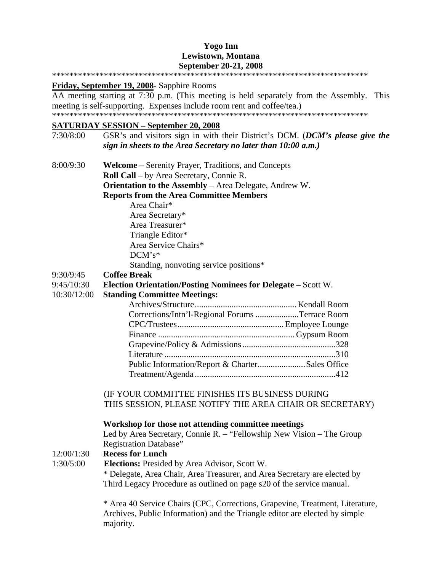#### **Yogo Inn Lewistown, Montana September 20-21, 2008**  \*\*\*\*\*\*\*\*\*\*\*\*\*\*\*\*\*\*\*\*\*\*\*\*\*\*\*\*\*\*\*\*\*\*\*\*\*\*\*\*\*\*\*\*\*\*\*\*\*\*\*\*\*\*\*\*\*\*\*\*\*\*\*\*\*\*\*\*\*\*\*\*\*

**Friday, September 19, 2008**- Sapphire Rooms

AA meeting starting at 7:30 p.m. (This meeting is held separately from the Assembly. This meeting is self-supporting. Expenses include room rent and coffee/tea.) \*\*\*\*\*\*\*\*\*\*\*\*\*\*\*\*\*\*\*\*\*\*\*\*\*\*\*\*\*\*\*\*\*\*\*\*\*\*\*\*\*\*\*\*\*\*\*\*\*\*\*\*\*\*\*\*\*\*\*\*\*\*\*\*\*\*\*\*\*\*\*\*\*

#### **SATURDAY SESSION – September 20, 2008**

7:30/8:00 GSR's and visitors sign in with their District's DCM. (*DCM's please give the sign in sheets to the Area Secretary no later than 10:00 a.m.)* 8:00/9:30 **Welcome** – Serenity Prayer, Traditions, and Concepts **Roll Call** – by Area Secretary, Connie R. **Orientation to the Assembly** – Area Delegate, Andrew W. **Reports from the Area Committee Members** Area Chair\* Area Secretary\* Area Treasurer\* Triangle Editor\* Area Service Chairs\* DCM's\* Standing, nonvoting service positions\* 9:30/9:45 **Coffee Break**  9:45/10:30 **Election Orientation/Posting Nominees for Delegate –** Scott W. 10:30/12:00 **Standing Committee Meetings:** Archives/Structure............................................... Kendall Room Corrections/Intn'l-Regional Forums ....................Terrace Room CPC/Trustees................................................. Employee Lounge Finance ............................................................... Gypsum Room Grapevine/Policy & Admissions ...........................................328 Literature ...............................................................................310 Public Information/Report & Charter......................Sales Office Treatment/Agenda .................................................................412 (IF YOUR COMMITTEE FINISHES ITS BUSINESS DURING THIS SESSION, PLEASE NOTIFY THE AREA CHAIR OR SECRETARY)

### **Workshop for those not attending committee meetings**

Led by Area Secretary, Connie R. – "Fellowship New Vision – The Group Registration Database"

### 12:00/1:30 **Recess for Lunch**

1:30/5:00 **Elections:** Presided by Area Advisor, Scott W. \* Delegate, Area Chair, Area Treasurer, and Area Secretary are elected by Third Legacy Procedure as outlined on page s20 of the service manual.

> \* Area 40 Service Chairs (CPC, Corrections, Grapevine, Treatment, Literature, Archives, Public Information) and the Triangle editor are elected by simple majority.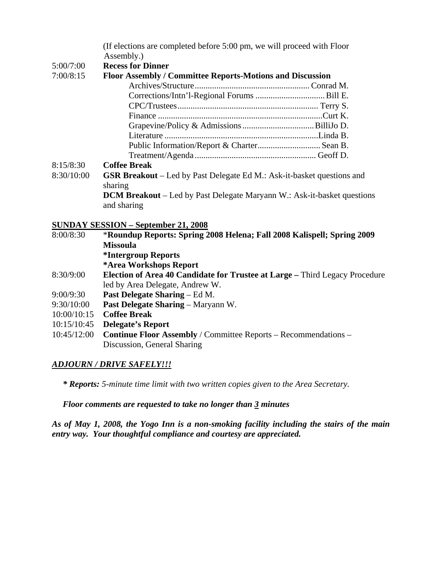(If elections are completed before 5:00 pm, we will proceed with Floor Assembly.)

#### 5:00/7:00 **Recess for Dinner**

### 7:00/8:15 **Floor Assembly / Committee Reports-Motions and Discussion**

| $\mathbf{D}$ and $\mathbf{D}$ and $\mathbf{D}$ and $\mathbf{D}$ and $\mathbf{D}$ and $\mathbf{D}$ and $\mathbf{D}$ and $\mathbf{D}$ and $\mathbf{D}$ and $\mathbf{D}$ and $\mathbf{D}$ and $\mathbf{D}$ and $\mathbf{D}$ and $\mathbf{D}$ and $\mathbf{D}$ and $\mathbf{D}$ and $\mathbf{D}$ and |  |
|--------------------------------------------------------------------------------------------------------------------------------------------------------------------------------------------------------------------------------------------------------------------------------------------------|--|

#### 8:15/8:30 **Coffee Break**

8:30/10:00 **GSR Breakout** – Led by Past Delegate Ed M.: Ask-it-basket questions and sharing **DCM Breakout** – Led by Past Delegate Maryann W.: Ask-it-basket questions and sharing

#### **SUNDAY SESSION – September 21, 2008**

| 8:00/8:30   | *Roundup Reports: Spring 2008 Helena; Fall 2008 Kalispell; Spring 2009             |  |
|-------------|------------------------------------------------------------------------------------|--|
|             | <b>Missoula</b>                                                                    |  |
|             | <i><b>*Intergroup Reports</b></i>                                                  |  |
|             | *Area Workshops Report                                                             |  |
| 8:30/9:00   | <b>Election of Area 40 Candidate for Trustee at Large – Third Legacy Procedure</b> |  |
|             | led by Area Delegate, Andrew W.                                                    |  |
| 9:00/9:30   | <b>Past Delegate Sharing – Ed M.</b>                                               |  |
| 9:30/10:00  | <b>Past Delegate Sharing – Maryann W.</b>                                          |  |
| 10:00/10:15 | <b>Coffee Break</b>                                                                |  |
| 10:15/10:45 | <b>Delegate's Report</b>                                                           |  |
| 10:45/12:00 | <b>Continue Floor Assembly / Committee Reports - Recommendations -</b>             |  |
|             | Discussion, General Sharing                                                        |  |

### *ADJOURN / DRIVE SAFELY!!!*

*\* Reports: 5-minute time limit with two written copies given to the Area Secretary.* 

### *Floor comments are requested to take no longer than 3 minutes*

*As of May 1, 2008, the Yogo Inn is a non-smoking facility including the stairs of the main entry way. Your thoughtful compliance and courtesy are appreciated.*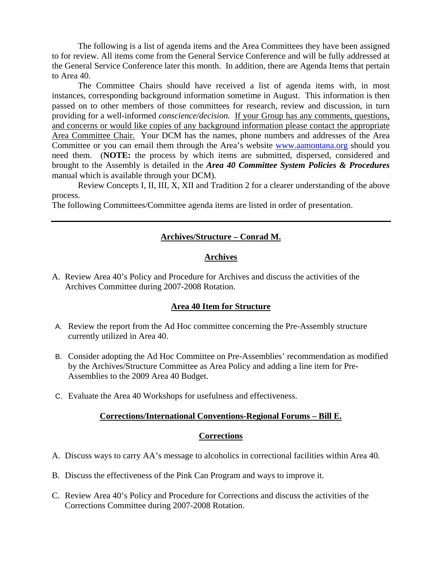The following is a list of agenda items and the Area Committees they have been assigned to for review. All items come from the General Service Conference and will be fully addressed at the General Service Conference later this month. In addition, there are Agenda Items that pertain to Area 40.

The Committee Chairs should have received a list of agenda items with, in most instances, corresponding background information sometime in August. This information is then passed on to other members of those committees for research, review and discussion, in turn providing for a well-informed *conscience/decision.* If your Group has any comments, questions, and concerns or would like copies of any background information please contact the appropriate Area Committee Chair. Your DCM has the names, phone numbers and addresses of the Area Committee or you can email them through the Area's website www.aamontana.org should you need them. (**NOTE:** the process by which items are submitted, dispersed, considered and brought to the Assembly is detailed in the *Area 40 Committee System Policies & Procedures*  manual which is available through your DCM).

Review Concepts I, II, III, X, XII and Tradition 2 for a clearer understanding of the above process.

The following Committees/Committee agenda items are listed in order of presentation.

# **Archives/Structure – Conrad M.**

#### **Archives**

A. Review Area 40's Policy and Procedure for Archives and discuss the activities of the Archives Committee during 2007-2008 Rotation.

### **Area 40 Item for Structure**

- A. Review the report from the Ad Hoc committee concerning the Pre-Assembly structure currently utilized in Area 40.
- B. Consider adopting the Ad Hoc Committee on Pre-Assemblies' recommendation as modified by the Archives/Structure Committee as Area Policy and adding a line item for Pre-Assemblies to the 2009 Area 40 Budget.
- C. Evaluate the Area 40 Workshops for usefulness and effectiveness.

### **Corrections/International Conventions-Regional Forums – Bill E.**

### **Corrections**

- A. Discuss ways to carry AA's message to alcoholics in correctional facilities within Area 40.
- B. Discuss the effectiveness of the Pink Can Program and ways to improve it.
- C. Review Area 40's Policy and Procedure for Corrections and discuss the activities of the Corrections Committee during 2007-2008 Rotation.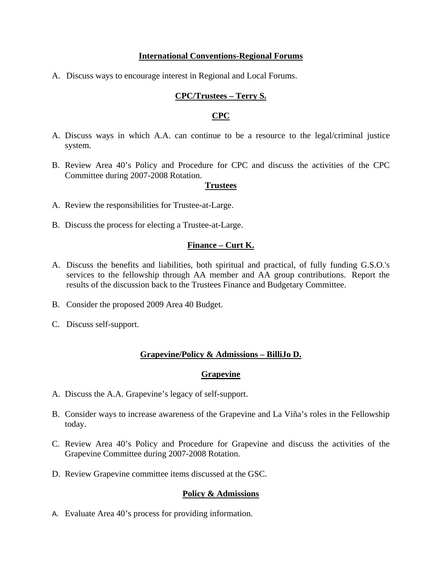#### **International Conventions-Regional Forums**

A. Discuss ways to encourage interest in Regional and Local Forums.

### **CPC/Trustees – Terry S.**

#### **CPC**

- A. Discuss ways in which A.A. can continue to be a resource to the legal/criminal justice system.
- B. Review Area 40's Policy and Procedure for CPC and discuss the activities of the CPC Committee during 2007-2008 Rotation.

#### **Trustees**

- A. Review the responsibilities for Trustee-at-Large.
- B. Discuss the process for electing a Trustee-at-Large.

#### **Finance – Curt K.**

- A. Discuss the benefits and liabilities, both spiritual and practical, of fully funding G.S.O.'s services to the fellowship through AA member and AA group contributions. Report the results of the discussion back to the Trustees Finance and Budgetary Committee.
- B. Consider the proposed 2009 Area 40 Budget.
- C. Discuss self-support.

### **Grapevine/Policy & Admissions – BilliJo D.**

#### **Grapevine**

- A. Discuss the A.A. Grapevine's legacy of self-support.
- B. Consider ways to increase awareness of the Grapevine and La Viña's roles in the Fellowship today.
- C. Review Area 40's Policy and Procedure for Grapevine and discuss the activities of the Grapevine Committee during 2007-2008 Rotation.
- D. Review Grapevine committee items discussed at the GSC.

### **Policy & Admissions**

A. Evaluate Area 40's process for providing information.